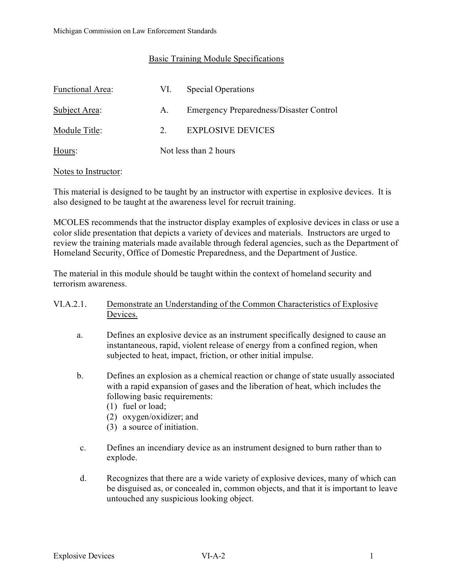### Basic Training Module Specifications

| Functional Area: | VI. | <b>Special Operations</b>                      |  |
|------------------|-----|------------------------------------------------|--|
| Subject Area:    | А.  | <b>Emergency Preparedness/Disaster Control</b> |  |
| Module Title:    | 2.  | <b>EXPLOSIVE DEVICES</b>                       |  |
| Hours:           |     | Not less than 2 hours                          |  |

#### Notes to Instructor:

This material is designed to be taught by an instructor with expertise in explosive devices. It is also designed to be taught at the awareness level for recruit training.

MCOLES recommends that the instructor display examples of explosive devices in class or use a color slide presentation that depicts a variety of devices and materials. Instructors are urged to review the training materials made available through federal agencies, such as the Department of Homeland Security, Office of Domestic Preparedness, and the Department of Justice.

The material in this module should be taught within the context of homeland security and terrorism awareness.

### VI.A.2.1. Demonstrate an Understanding of the Common Characteristics of Explosive Devices.

- a. Defines an explosive device as an instrument specifically designed to cause an instantaneous, rapid, violent release of energy from a confined region, when subjected to heat, impact, friction, or other initial impulse.
- b. Defines an explosion as a chemical reaction or change of state usually associated with a rapid expansion of gases and the liberation of heat, which includes the following basic requirements:
	- (1) fuel or load;
	- (2) oxygen/oxidizer; and
	- (3) a source of initiation.
- c. Defines an incendiary device as an instrument designed to burn rather than to explode.
- d. Recognizes that there are a wide variety of explosive devices, many of which can be disguised as, or concealed in, common objects, and that it is important to leave untouched any suspicious looking object.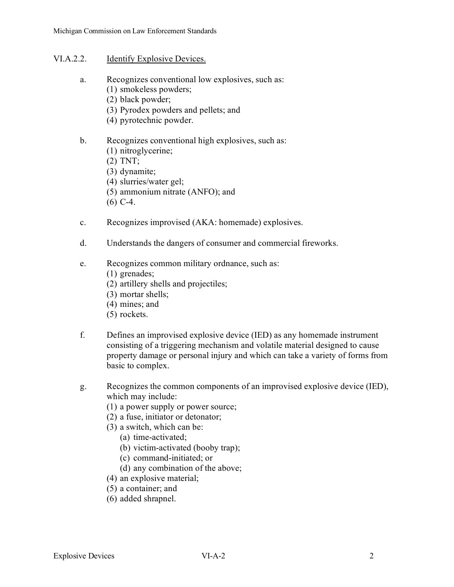#### VI.A.2.2. Identify Explosive Devices.

- a. Recognizes conventional low explosives, such as:
	- (1) smokeless powders;
		- (2) black powder;
		- (3) Pyrodex powders and pellets; and
		- (4) pyrotechnic powder.

### b. Recognizes conventional high explosives, such as:

- (1) nitroglycerine;
- (2) TNT;
- (3) dynamite;
- (4) slurries/water gel;
- (5) ammonium nitrate (ANFO); and
- (6) C-4.
- c. Recognizes improvised (AKA: homemade) explosives.
- d. Understands the dangers of consumer and commercial fireworks.
- e. Recognizes common military ordnance, such as:
	- (1) grenades;
	- (2) artillery shells and projectiles;
	- (3) mortar shells;
	- (4) mines; and
	- (5) rockets.
- f. Defines an improvised explosive device (IED) as any homemade instrument consisting of a triggering mechanism and volatile material designed to cause property damage or personal injury and which can take a variety of forms from basic to complex.
- g. Recognizes the common components of an improvised explosive device (IED), which may include:
	- (1) a power supply or power source;
	- (2) a fuse, initiator or detonator;
	- (3) a switch, which can be:
		- (a) time-activated;
		- (b) victim-activated (booby trap);
		- (c) command-initiated; or
		- (d) any combination of the above;
	- (4) an explosive material;
	- (5) a container; and
	- (6) added shrapnel.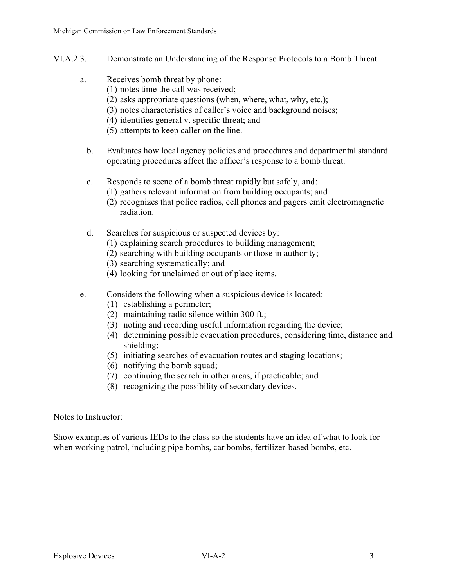- VI.A.2.3. Demonstrate an Understanding of the Response Protocols to a Bomb Threat.
	- a. Receives bomb threat by phone:
		- (1) notes time the call was received;
		- (2) asks appropriate questions (when, where, what, why, etc.);
		- (3) notes characteristics of caller's voice and background noises;
		- (4) identifies general v. specific threat; and
		- (5) attempts to keep caller on the line.
		- b. Evaluates how local agency policies and procedures and departmental standard operating procedures affect the officer's response to a bomb threat.
		- c. Responds to scene of a bomb threat rapidly but safely, and:
			- (1) gathers relevant information from building occupants; and
			- (2) recognizes that police radios, cell phones and pagers emit electromagnetic radiation.
		- d. Searches for suspicious or suspected devices by:
			- (1) explaining search procedures to building management;
			- (2) searching with building occupants or those in authority;
			- (3) searching systematically; and
			- (4) looking for unclaimed or out of place items.
	- e. Considers the following when a suspicious device is located:
		- (1) establishing a perimeter;
		- (2) maintaining radio silence within 300 ft.;
		- (3) noting and recording useful information regarding the device;
		- (4) determining possible evacuation procedures, considering time, distance and shielding;
		- (5) initiating searches of evacuation routes and staging locations;
		- (6) notifying the bomb squad;
		- (7) continuing the search in other areas, if practicable; and
		- (8) recognizing the possibility of secondary devices.

# Notes to Instructor:

Show examples of various IEDs to the class so the students have an idea of what to look for when working patrol, including pipe bombs, car bombs, fertilizer-based bombs, etc.